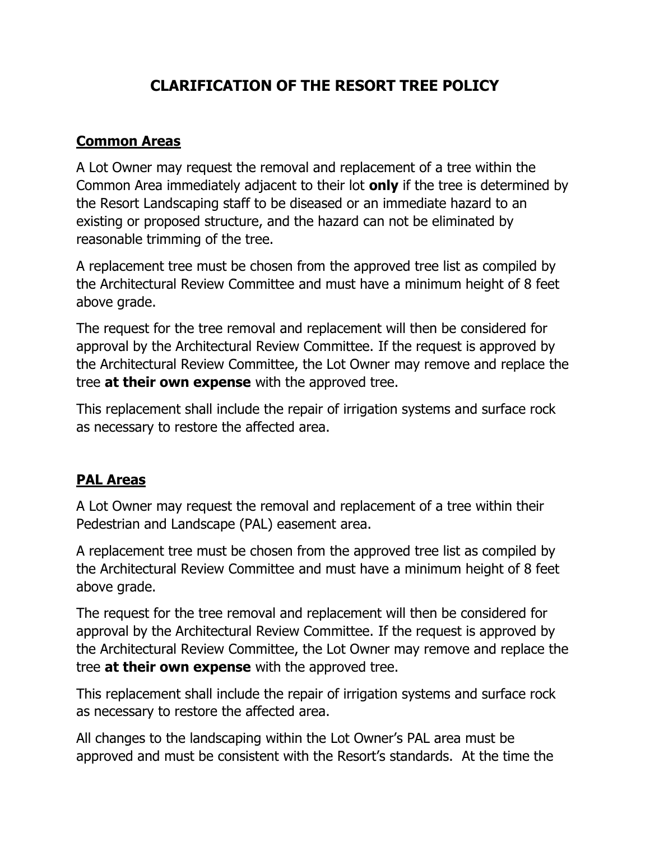## **CLARIFICATION OF THE RESORT TREE POLICY**

## **Common Areas**

A Lot Owner may request the removal and replacement of a tree within the Common Area immediately adjacent to their lot **only** if the tree is determined by the Resort Landscaping staff to be diseased or an immediate hazard to an existing or proposed structure, and the hazard can not be eliminated by reasonable trimming of the tree.

A replacement tree must be chosen from the approved tree list as compiled by the Architectural Review Committee and must have a minimum height of 8 feet above grade.

The request for the tree removal and replacement will then be considered for approval by the Architectural Review Committee. If the request is approved by the Architectural Review Committee, the Lot Owner may remove and replace the tree **at their own expense** with the approved tree.

This replacement shall include the repair of irrigation systems and surface rock as necessary to restore the affected area.

## **PAL Areas**

A Lot Owner may request the removal and replacement of a tree within their Pedestrian and Landscape (PAL) easement area.

A replacement tree must be chosen from the approved tree list as compiled by the Architectural Review Committee and must have a minimum height of 8 feet above grade.

The request for the tree removal and replacement will then be considered for approval by the Architectural Review Committee. If the request is approved by the Architectural Review Committee, the Lot Owner may remove and replace the tree **at their own expense** with the approved tree.

This replacement shall include the repair of irrigation systems and surface rock as necessary to restore the affected area.

All changes to the landscaping within the Lot Owner's PAL area must be approved and must be consistent with the Resort's standards. At the time the